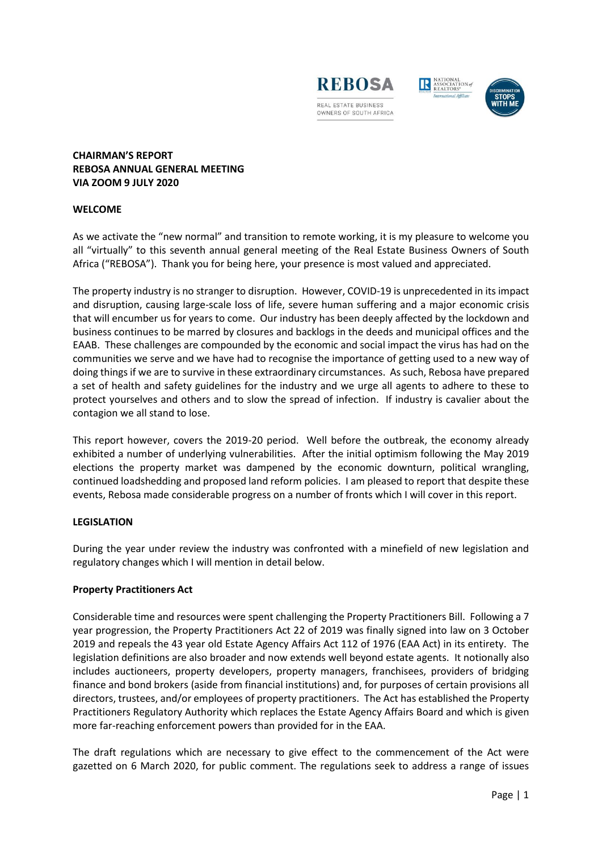





# **CHAIRMAN'S REPORT REBOSA ANNUAL GENERAL MEETING VIA ZOOM 9 JULY 2020**

## **WELCOME**

As we activate the "new normal" and transition to remote working, it is my pleasure to welcome you all "virtually" to this seventh annual general meeting of the Real Estate Business Owners of South Africa ("REBOSA"). Thank you for being here, your presence is most valued and appreciated.

The property industry is no stranger to disruption. However, COVID-19 is unprecedented in its impact and disruption, causing large-scale loss of life, severe human suffering and a major economic crisis that will encumber us for years to come. Our industry has been deeply affected by the lockdown and business continues to be marred by closures and backlogs in the deeds and municipal offices and the EAAB. These challenges are compounded by the economic and social impact the virus has had on the communities we serve and we have had to recognise the importance of getting used to a new way of doing things if we are to survive in these extraordinary circumstances. As such, Rebosa have prepared a set of health and safety guidelines for the industry and we urge all agents to adhere to these to protect yourselves and others and to slow the spread of infection. If industry is cavalier about the contagion we all stand to lose.

This report however, covers the 2019-20 period. Well before the outbreak, the economy already exhibited a number of underlying vulnerabilities. After the initial optimism following the May 2019 elections the property market was dampened by the economic downturn, political wrangling, continued loadshedding and proposed land reform policies. I am pleased to report that despite these events, Rebosa made considerable progress on a number of fronts which I will cover in this report.

## **LEGISLATION**

During the year under review the industry was confronted with a minefield of new legislation and regulatory changes which I will mention in detail below.

## **Property Practitioners Act**

Considerable time and resources were spent challenging the Property Practitioners Bill. Following a 7 year progression, the Property Practitioners Act 22 of 2019 was finally signed into law on 3 October 2019 and repeals the 43 year old Estate Agency Affairs Act 112 of 1976 (EAA Act) in its entirety. The legislation definitions are also broader and now extends well beyond estate agents. It notionally also includes auctioneers, property developers, property managers, franchisees, providers of bridging finance and bond brokers (aside from financial institutions) and, for purposes of certain provisions all directors, trustees, and/or employees of property practitioners. The Act has established the Property Practitioners Regulatory Authority which replaces the Estate Agency Affairs Board and which is given more far-reaching enforcement powers than provided for in the EAA.

The draft regulations which are necessary to give effect to the commencement of the Act were gazetted on 6 March 2020, for public comment. The regulations seek to address a range of issues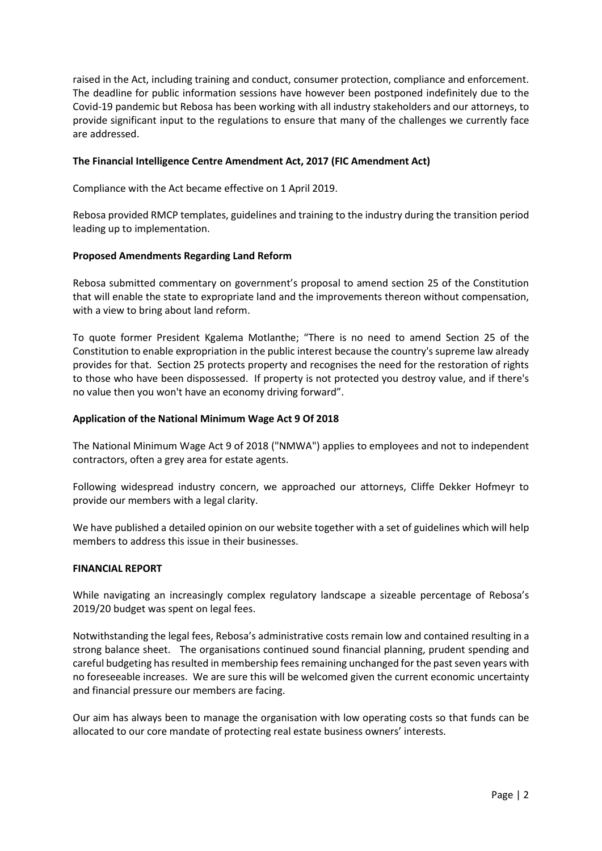raised in the Act, including training and conduct, consumer protection, compliance and enforcement. The deadline for public information sessions have however been postponed indefinitely due to the Covid-19 pandemic but Rebosa has been working with all industry stakeholders and our attorneys, to provide significant input to the regulations to ensure that many of the challenges we currently face are addressed.

## **The Financial Intelligence Centre Amendment Act, 2017 (FIC Amendment Act)**

Compliance with the Act became effective on 1 April 2019.

Rebosa provided RMCP templates, guidelines and training to the industry during the transition period leading up to implementation.

# **Proposed Amendments Regarding Land Reform**

Rebosa submitted commentary on government's proposal to amend section 25 of the Constitution that will enable the state to expropriate land and the improvements thereon without compensation, with a view to bring about land reform.

To quote former President Kgalema Motlanthe; "There is no need to amend Section 25 of the Constitution to enable expropriation in the public interest because the country's supreme law already provides for that. Section 25 protects property and recognises the need for the restoration of rights to those who have been dispossessed. If property is not protected you destroy value, and if there's no value then you won't have an economy driving forward".

# **Application of the National Minimum Wage Act 9 Of 2018**

The National Minimum Wage Act 9 of 2018 ("NMWA") applies to employees and not to independent contractors, often a grey area for estate agents.

Following widespread industry concern, we approached our attorneys, Cliffe Dekker Hofmeyr to provide our members with a legal clarity.

We have published a detailed opinion on our website together with a set of guidelines which will help members to address this issue in their businesses.

## **FINANCIAL REPORT**

While navigating an increasingly complex regulatory landscape a sizeable percentage of Rebosa's 2019/20 budget was spent on legal fees.

Notwithstanding the legal fees, Rebosa's administrative costs remain low and contained resulting in a strong balance sheet. The organisations continued sound financial planning, prudent spending and careful budgeting has resulted in membership fees remaining unchanged for the past seven years with no foreseeable increases. We are sure this will be welcomed given the current economic uncertainty and financial pressure our members are facing.

Our aim has always been to manage the organisation with low operating costs so that funds can be allocated to our core mandate of protecting real estate business owners' interests.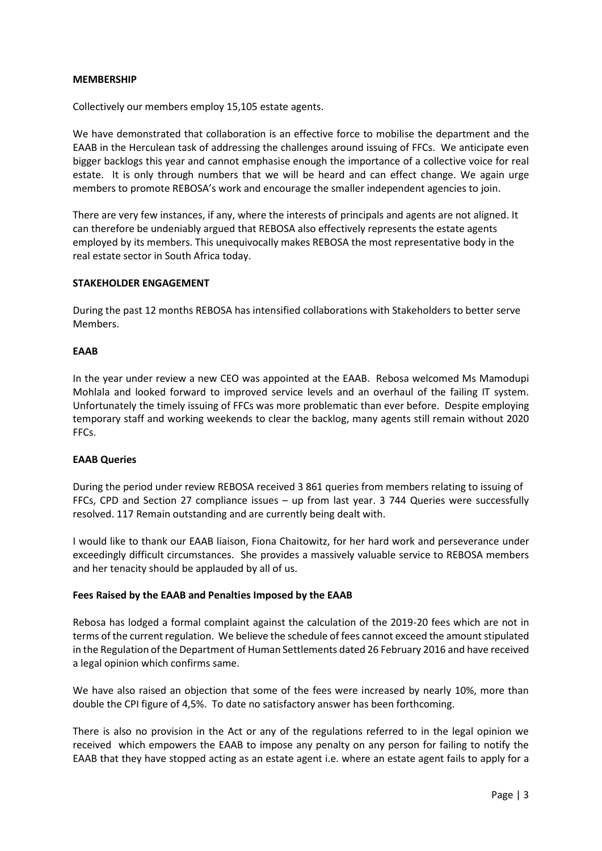#### **MEMBERSHIP**

Collectively our members employ 15,105 estate agents.

We have demonstrated that collaboration is an effective force to mobilise the department and the EAAB in the Herculean task of addressing the challenges around issuing of FFCs. We anticipate even bigger backlogs this year and cannot emphasise enough the importance of a collective voice for real estate. It is only through numbers that we will be heard and can effect change. We again urge members to promote REBOSA's work and encourage the smaller independent agencies to join.

There are very few instances, if any, where the interests of principals and agents are not aligned. It can therefore be undeniably argued that REBOSA also effectively represents the estate agents employed by its members. This unequivocally makes REBOSA the most representative body in the real estate sector in South Africa today.

#### **STAKEHOLDER ENGAGEMENT**

During the past 12 months REBOSA has intensified collaborations with Stakeholders to better serve Members.

#### **EAAB**

In the year under review a new CEO was appointed at the EAAB. Rebosa welcomed Ms Mamodupi Mohlala and looked forward to improved service levels and an overhaul of the failing IT system. Unfortunately the timely issuing of FFCs was more problematic than ever before. Despite employing temporary staff and working weekends to clear the backlog, many agents still remain without 2020 FFCs.

## **EAAB Queries**

During the period under review REBOSA received 3 861 queries from members relating to issuing of FFCs, CPD and Section 27 compliance issues – up from last year. 3 744 Queries were successfully resolved. 117 Remain outstanding and are currently being dealt with.

I would like to thank our EAAB liaison, Fiona Chaitowitz, for her hard work and perseverance under exceedingly difficult circumstances. She provides a massively valuable service to REBOSA members and her tenacity should be applauded by all of us.

#### **Fees Raised by the EAAB and Penalties Imposed by the EAAB**

Rebosa has lodged a formal complaint against the calculation of the 2019-20 fees which are not in terms of the current regulation. We believe the schedule of fees cannot exceed the amount stipulated in the Regulation of the Department of Human Settlements dated 26 February 2016 and have received a legal opinion which confirms same.

We have also raised an objection that some of the fees were increased by nearly 10%, more than double the CPI figure of 4,5%. To date no satisfactory answer has been forthcoming.

There is also no provision in the Act or any of the regulations referred to in the legal opinion we received which empowers the EAAB to impose any penalty on any person for failing to notify the EAAB that they have stopped acting as an estate agent i.e. where an estate agent fails to apply for a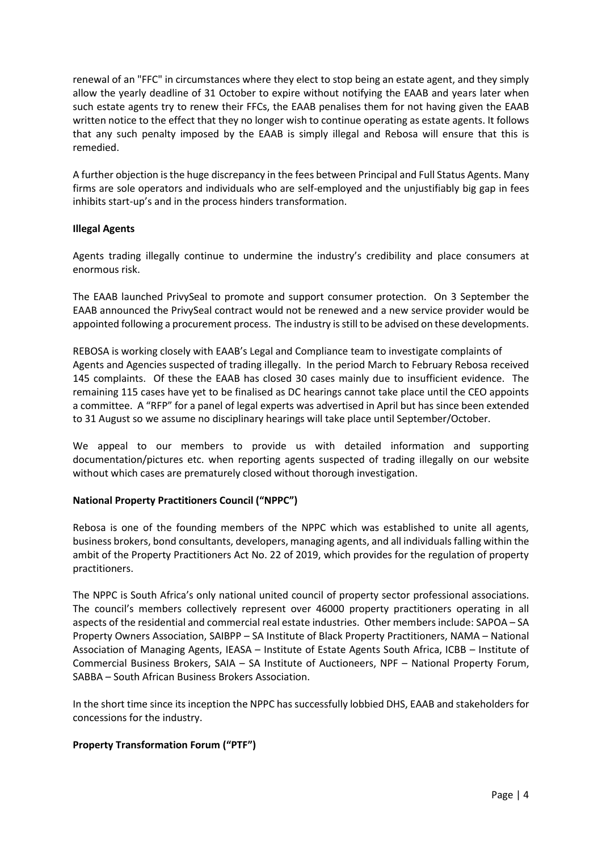renewal of an "FFC" in circumstances where they elect to stop being an estate agent, and they simply allow the yearly deadline of 31 October to expire without notifying the EAAB and years later when such estate agents try to renew their FFCs, the EAAB penalises them for not having given the EAAB written notice to the effect that they no longer wish to continue operating as estate agents. It follows that any such penalty imposed by the EAAB is simply illegal and Rebosa will ensure that this is remedied.

A further objection is the huge discrepancy in the fees between Principal and Full Status Agents. Many firms are sole operators and individuals who are self-employed and the unjustifiably big gap in fees inhibits start-up's and in the process hinders transformation.

# **Illegal Agents**

Agents trading illegally continue to undermine the industry's credibility and place consumers at enormous risk.

The EAAB launched PrivySeal to promote and support consumer protection. On 3 September the EAAB announced the PrivySeal contract would not be renewed and a new service provider would be appointed following a procurement process. The industry is still to be advised on these developments.

REBOSA is working closely with EAAB's Legal and Compliance team to investigate complaints of Agents and Agencies suspected of trading illegally. In the period March to February Rebosa received 145 complaints. Of these the EAAB has closed 30 cases mainly due to insufficient evidence. The remaining 115 cases have yet to be finalised as DC hearings cannot take place until the CEO appoints a committee. A "RFP" for a panel of legal experts was advertised in April but has since been extended to 31 August so we assume no disciplinary hearings will take place until September/October.

We appeal to our members to provide us with detailed information and supporting documentation/pictures etc. when reporting agents suspected of trading illegally on our website without which cases are prematurely closed without thorough investigation.

# **National Property Practitioners Council ("NPPC")**

Rebosa is one of the founding members of the NPPC which was established to unite all agents, business brokers, bond consultants, developers, managing agents, and all individuals falling within the ambit of the Property Practitioners Act No. 22 of 2019, which provides for the regulation of property practitioners.

The NPPC is South Africa's only national united council of property sector professional associations. The council's members collectively represent over 46000 property practitioners operating in all aspects of the residential and commercial real estate industries. Other members include: SAPOA – SA Property Owners Association, SAIBPP – SA Institute of Black Property Practitioners, NAMA – National Association of Managing Agents, IEASA – Institute of Estate Agents South Africa, ICBB – Institute of Commercial Business Brokers, SAIA – SA Institute of Auctioneers, NPF – National Property Forum, SABBA – South African Business Brokers Association.

In the short time since its inception the NPPC has successfully lobbied DHS, EAAB and stakeholders for concessions for the industry.

# **Property Transformation Forum ("PTF")**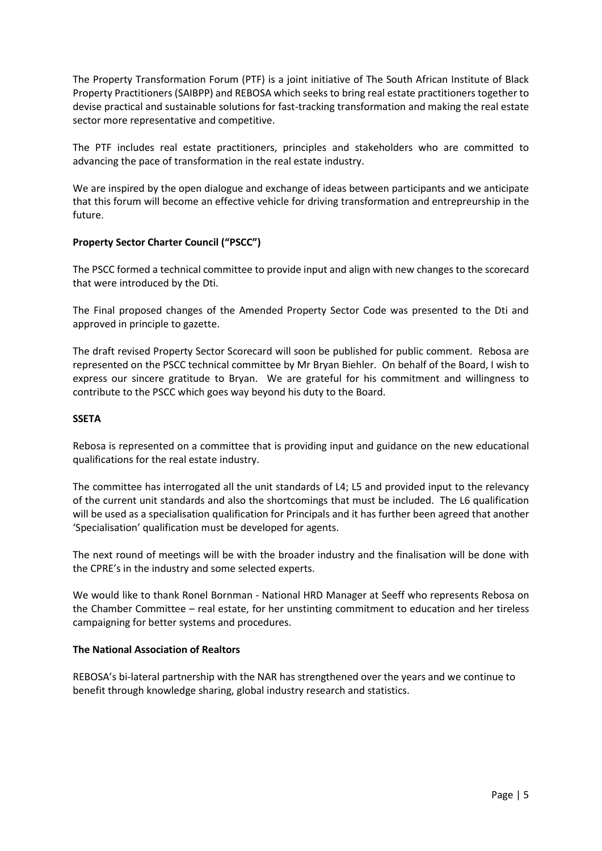The Property Transformation Forum (PTF) is a joint initiative of The South African Institute of Black Property Practitioners (SAIBPP) and REBOSA which seeks to bring real estate practitioners together to devise practical and sustainable solutions for fast-tracking transformation and making the real estate sector more representative and competitive.

The PTF includes real estate practitioners, principles and stakeholders who are committed to advancing the pace of transformation in the real estate industry.

We are inspired by the open dialogue and exchange of ideas between participants and we anticipate that this forum will become an effective vehicle for driving transformation and entrepreurship in the future.

# **Property Sector Charter Council ("PSCC")**

The PSCC formed a technical committee to provide input and align with new changes to the scorecard that were introduced by the Dti.

The Final proposed changes of the Amended Property Sector Code was presented to the Dti and approved in principle to gazette.

The draft revised Property Sector Scorecard will soon be published for public comment. Rebosa are represented on the PSCC technical committee by Mr Bryan Biehler. On behalf of the Board, I wish to express our sincere gratitude to Bryan. We are grateful for his commitment and willingness to contribute to the PSCC which goes way beyond his duty to the Board.

## **SSETA**

Rebosa is represented on a committee that is providing input and guidance on the new educational qualifications for the real estate industry.

The committee has interrogated all the unit standards of L4; L5 and provided input to the relevancy of the current unit standards and also the shortcomings that must be included. The L6 qualification will be used as a specialisation qualification for Principals and it has further been agreed that another 'Specialisation' qualification must be developed for agents.

The next round of meetings will be with the broader industry and the finalisation will be done with the CPRE's in the industry and some selected experts.

We would like to thank Ronel Bornman - National HRD Manager at Seeff who represents Rebosa on the Chamber Committee – real estate, for her unstinting commitment to education and her tireless campaigning for better systems and procedures.

## **The National Association of Realtors**

REBOSA's bi-lateral partnership with the NAR has strengthened over the years and we continue to benefit through knowledge sharing, global industry research and statistics.